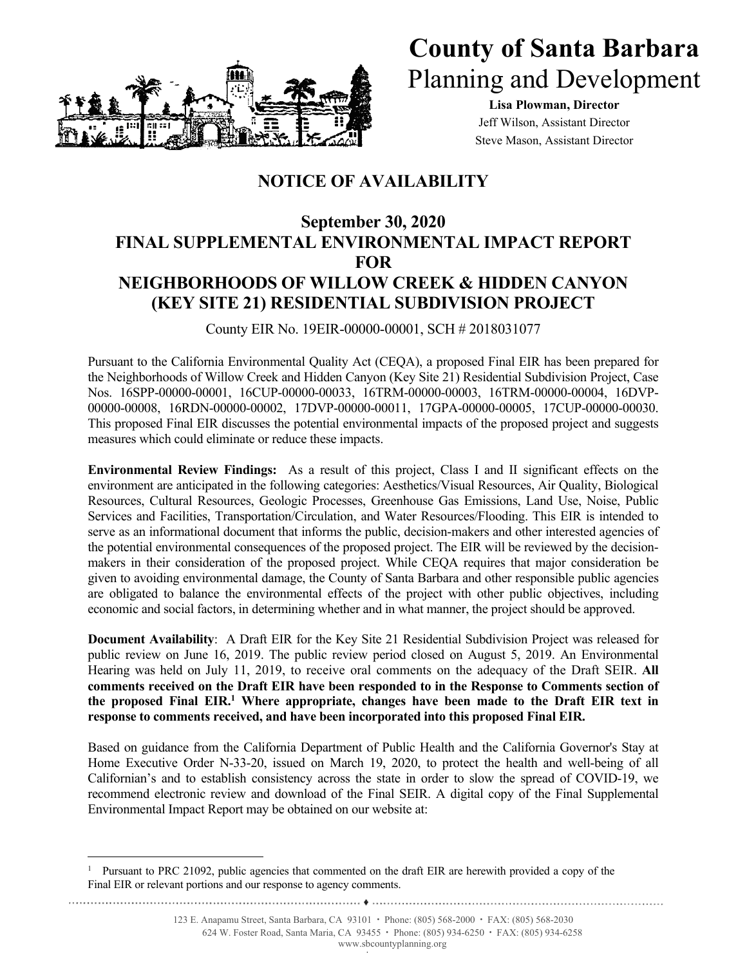

## **County of Santa Barbara** Planning and Development

**Lisa Plowman, Director**  Jeff Wilson, Assistant Director Steve Mason, Assistant Director

## **NOTICE OF AVAILABILITY**

## **September 30, 2020 FINAL SUPPLEMENTAL ENVIRONMENTAL IMPACT REPORT FOR NEIGHBORHOODS OF WILLOW CREEK & HIDDEN CANYON (KEY SITE 21) RESIDENTIAL SUBDIVISION PROJECT**

County EIR No. 19EIR-00000-00001, SCH # 2018031077

Pursuant to the California Environmental Quality Act (CEQA), a proposed Final EIR has been prepared for the Neighborhoods of Willow Creek and Hidden Canyon (Key Site 21) Residential Subdivision Project, Case Nos. 16SPP-00000-00001, 16CUP-00000-00033, 16TRM-00000-00003, 16TRM-00000-00004, 16DVP-00000-00008, 16RDN-00000-00002, 17DVP-00000-00011, 17GPA-00000-00005, 17CUP-00000-00030. This proposed Final EIR discusses the potential environmental impacts of the proposed project and suggests measures which could eliminate or reduce these impacts.

**Environmental Review Findings:** As a result of this project, Class I and II significant effects on the environment are anticipated in the following categories: Aesthetics/Visual Resources, Air Quality, Biological Resources, Cultural Resources, Geologic Processes, Greenhouse Gas Emissions, Land Use, Noise, Public Services and Facilities, Transportation/Circulation, and Water Resources/Flooding. This EIR is intended to serve as an informational document that informs the public, decision-makers and other interested agencies of the potential environmental consequences of the proposed project. The EIR will be reviewed by the decisionmakers in their consideration of the proposed project. While CEQA requires that major consideration be given to avoiding environmental damage, the County of Santa Barbara and other responsible public agencies are obligated to balance the environmental effects of the project with other public objectives, including economic and social factors, in determining whether and in what manner, the project should be approved.

**Document Availability**: A Draft EIR for the Key Site 21 Residential Subdivision Project was released for public review on June 16, 2019. The public review period closed on August 5, 2019. An Environmental Hearing was held on July 11, 2019, to receive oral comments on the adequacy of the Draft SEIR. **All comments received on the Draft EIR have been responded to in the Response to Comments section of**  the proposed Final EIR.<sup>1</sup> Where appropriate, changes have been made to the Draft EIR text in **response to comments received, and have been incorporated into this proposed Final EIR.** 

Based on guidance from the California Department of Public Health and the California Governor's Stay at Home Executive Order N-33-20, issued on March 19, 2020, to protect the health and well-being of all Californian's and to establish consistency across the state in order to slow the spread of COVID-19, we recommend electronic review and download of the Final SEIR. A digital copy of the Final Supplemental Environmental Impact Report may be obtained on our website at:

i<br>Li

123 E. Anapamu Street, Santa Barbara, CA 93101 **∙** Phone: (805) 568-2000 **∙** FAX: (805) 568-2030

624 W. Foster Road, Santa Maria, CA 93455 **∙** Phone: (805) 934-6250 **∙** FAX: (805) 934-6258 www.sbcountyplanning.org

<sup>1</sup> Pursuant to PRC 21092, public agencies that commented on the draft EIR are herewith provided a copy of the Final EIR or relevant portions and our response to agency comments.